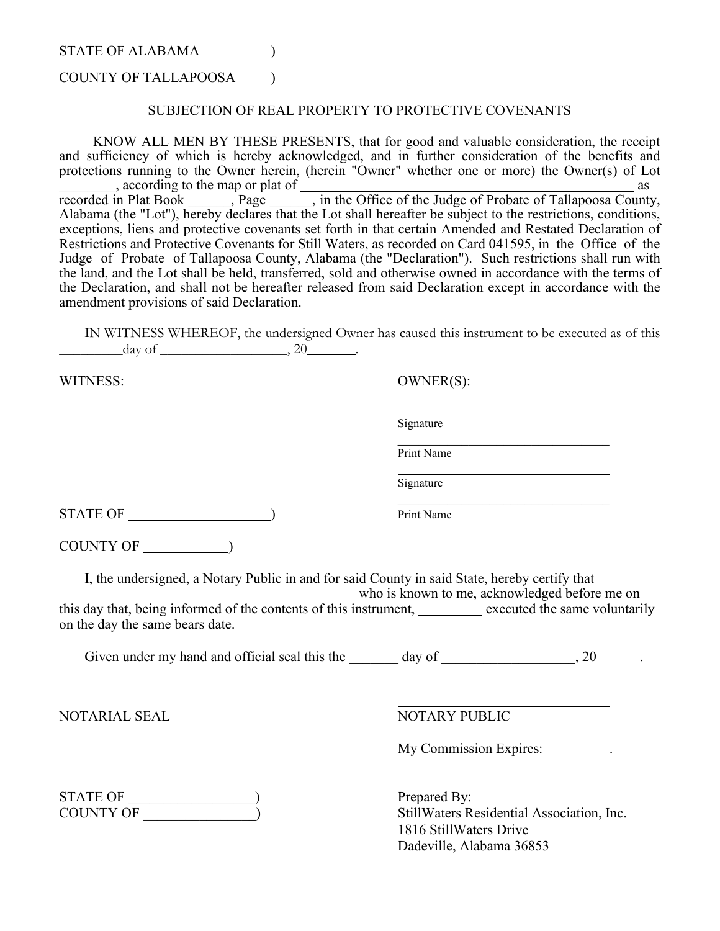STATE OF ALABAMA (1)

## COUNTY OF TALLAPOOSA (1)

## SUBJECTION OF REAL PROPERTY TO PROTECTIVE COVENANTS

KNOW ALL MEN BY THESE PRESENTS, that for good and valuable consideration, the receipt and sufficiency of which is hereby acknowledged, and in further consideration of the benefits and protections running to the Owner herein, (herein "Owner" whether one or more) the Owner(s) of Lot <sub>recorded</sub> in Plat Book and the map or plat of a secorded in Plat Book and the Mudge of Probate of Tallapoosa County  $\frac{a}{\sqrt{a}}$ , in the Office of the Judge of Probate of Tallapoosa County, Alabama (the "Lot"), hereby declares that the Lot shall hereafter be subject to the restrictions, conditions, exceptions, liens and protective covenants set forth in that certain Amended and Restated Declaration of Restrictions and Protective Covenants for Still Waters, as recorded on Card 041595, in the Office of the Judge of Probate of Tallapoosa County, Alabama (the "Declaration"). Such restrictions shall run with the land, and the Lot shall be held, transferred, sold and otherwise owned in accordance with the terms of the Declaration, and shall not be hereafter released from said Declaration except in accordance with the amendment provisions of said Declaration.

IN WITNESS WHEREOF, the undersigned Owner has caused this instrument to be executed as of this \_\_\_\_\_\_\_\_\_day of \_\_\_\_\_\_\_\_\_\_\_\_\_\_\_\_\_\_, 20 .

Signature

Print Name

Signature

WITNESS: OWNER(S):

STATE OF  $\qquad$  ) Print Name

COUNTY OF  $\qquad$ 

I, the undersigned, a Notary Public in and for said County in said State, hereby certify that

who is known to me, acknowledged before me on this day that, being informed of the contents of this instrument, executed the same voluntarily on the day the same bears date.

Given under my hand and official seal this the  $\_\_\_\_$  day of  $\_\_\_\_\_\_$ , 20 $\_\_\_\_\$ .

NOTARIAL SEAL NOTARY PUBLIC

My Commission Expires:

\_\_\_\_\_\_\_\_\_\_\_\_\_\_\_\_\_\_\_\_\_\_\_\_\_\_\_\_\_\_

| STATE OF  |  |
|-----------|--|
| COUNTY OF |  |

Prepared By: StillWaters Residential Association, Inc. 1816 StillWaters Drive Dadeville, Alabama 36853